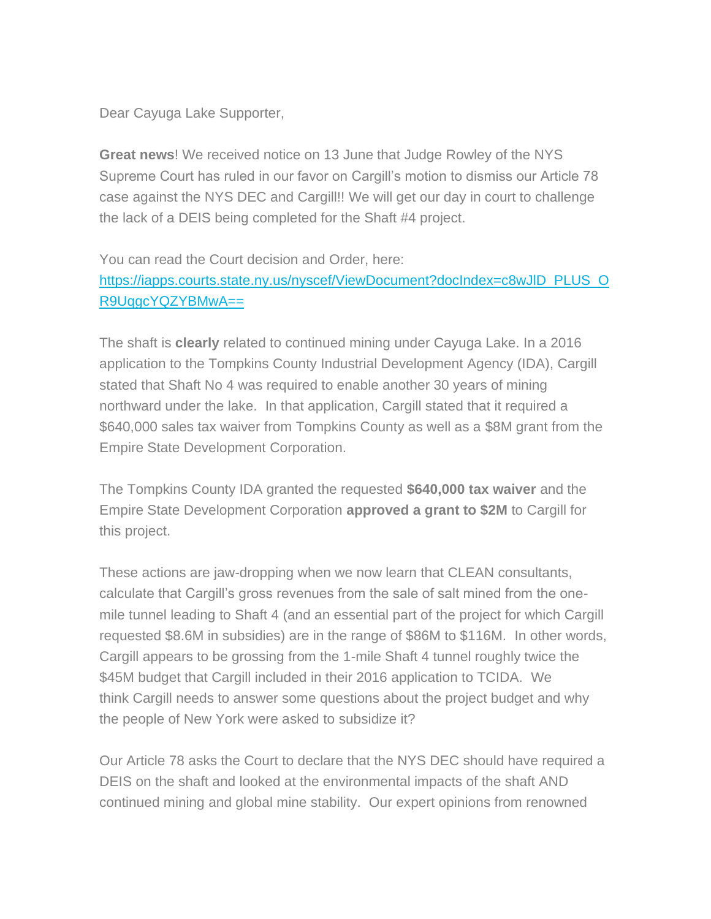Dear Cayuga Lake Supporter,

**Great news**! We received notice on 13 June that Judge Rowley of the NYS Supreme Court has ruled in our favor on Cargill's motion to dismiss our Article 78 case against the NYS DEC and Cargill!! We will get our day in court to challenge the lack of a DEIS being completed for the Shaft #4 project.

You can read the Court decision and Order, here: [https://iapps.courts.state.ny.us/nyscef/ViewDocument?docIndex=c8wJlD\\_PLUS\\_O](https://iapps.courts.state.ny.us/nyscef/ViewDocument?docIndex=c8wJlD_PLUS_OR9UqgcYQZYBMwA==) [R9UqgcYQZYBMwA==](https://iapps.courts.state.ny.us/nyscef/ViewDocument?docIndex=c8wJlD_PLUS_OR9UqgcYQZYBMwA==)

The shaft is **clearly** related to continued mining under Cayuga Lake. In a 2016 application to the Tompkins County Industrial Development Agency (IDA), Cargill stated that Shaft No 4 was required to enable another 30 years of mining northward under the lake. In that application, Cargill stated that it required a \$640,000 sales tax waiver from Tompkins County as well as a \$8M grant from the Empire State Development Corporation.

The Tompkins County IDA granted the requested **\$640,000 tax waiver** and the Empire State Development Corporation **approved a grant to \$2M** to Cargill for this project.

These actions are jaw-dropping when we now learn that CLEAN consultants, calculate that Cargill's gross revenues from the sale of salt mined from the onemile tunnel leading to Shaft 4 (and an essential part of the project for which Cargill requested \$8.6M in subsidies) are in the range of \$86M to \$116M. In other words, Cargill appears to be grossing from the 1-mile Shaft 4 tunnel roughly twice the \$45M budget that Cargill included in their 2016 application to TCIDA. We think Cargill needs to answer some questions about the project budget and why the people of New York were asked to subsidize it?

Our Article 78 asks the Court to declare that the NYS DEC should have required a DEIS on the shaft and looked at the environmental impacts of the shaft AND continued mining and global mine stability. Our expert opinions from renowned